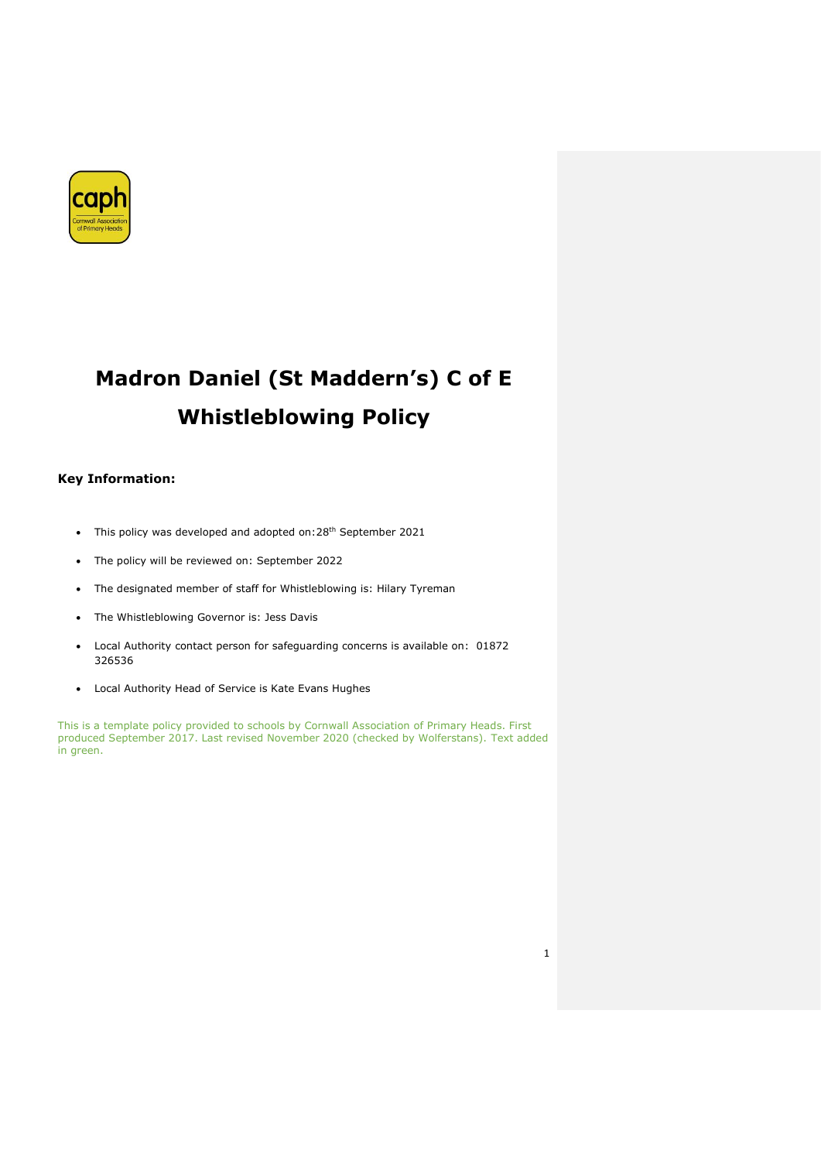

# **Madron Daniel (St Maddern's) C of E Whistleblowing Policy**

## **Key Information:**

- This policy was developed and adopted on: 28<sup>th</sup> September 2021
- The policy will be reviewed on: September 2022
- The designated member of staff for Whistleblowing is: Hilary Tyreman
- The Whistleblowing Governor is: Jess Davis
- Local Authority contact person for safeguarding concerns is available on: 01872 326536
- Local Authority Head of Service is Kate Evans Hughes

This is a template policy provided to schools by Cornwall Association of Primary Heads. First produced September 2017. Last revised November 2020 (checked by Wolferstans). Text added in green.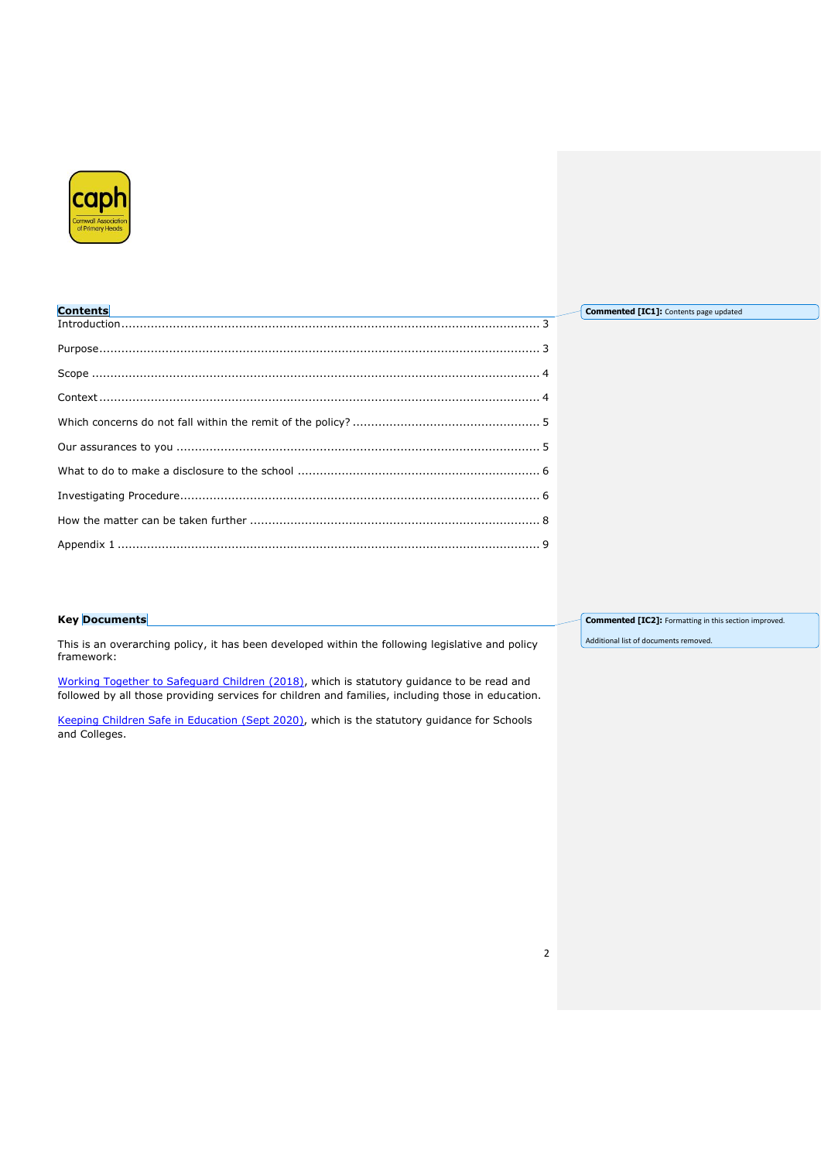

| <b>Contents</b> | <b>Commented [IC1]:</b> Contents page updated |
|-----------------|-----------------------------------------------|
|                 |                                               |
|                 |                                               |
|                 |                                               |
|                 |                                               |
|                 |                                               |
|                 |                                               |
|                 |                                               |
|                 |                                               |
|                 |                                               |
|                 |                                               |

## **Key Documents**

This is an overarching policy, it has been developed within the following legislative and policy framework:

[Working Together to Safeguard Children](https://www.gov.uk/government/publications/working-together-to-safeguard-children--2) (2018), which is statutory guidance to be read and followed by all those providing services for children and families, including those in education.

[Keeping Children Safe in Education](https://www.gov.uk/government/publications/keeping-children-safe-in-education--2) (Sept 2020), which is the statutory guidance for Schools and Colleges.

**Commented [IC2]:** Formatting in this section improved.

Additional list of documents removed.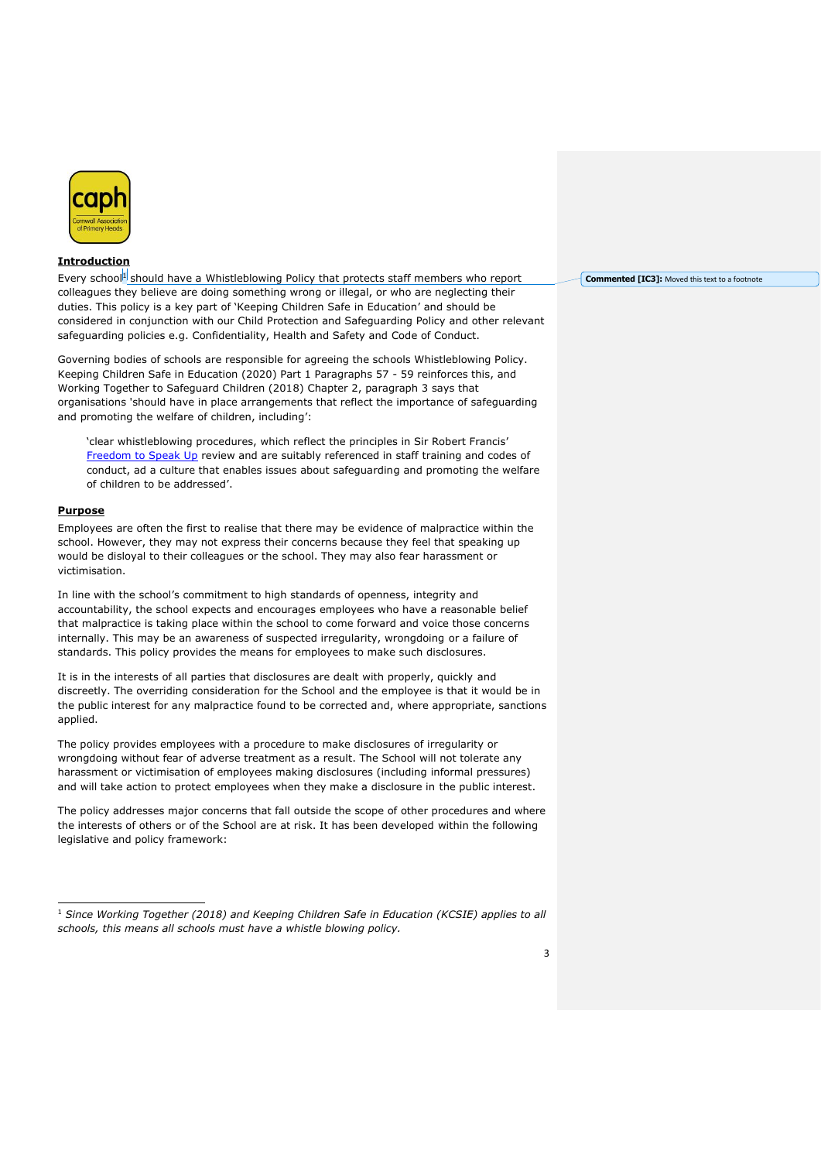

## <span id="page-2-0"></span>**Introduction**

Every school<sup>1</sup> should have a Whistleblowing Policy that protects staff members who report colleagues they believe are doing something wrong or illegal, or who are neglecting their duties. This policy is a key part of 'Keeping Children Safe in Education' and should be considered in conjunction with our Child Protection and Safeguarding Policy and other relevant safeguarding policies e.g. Confidentiality, Health and Safety and Code of Conduct.

Governing bodies of schools are responsible for agreeing the schools Whistleblowing Policy. Keeping Children Safe in Education (2020) Part 1 Paragraphs 57 - 59 reinforces this, and Working Together to Safeguard Children (2018) Chapter 2, paragraph 3 says that organisations 'should have in place arrangements that reflect the importance of safeguarding and promoting the welfare of children, including':

'clear whistleblowing procedures, which reflect the principles in Sir Robert Francis' [Freedom to Speak Up](http://www.freedomtospeakup.org.uk/) review and are suitably referenced in staff training and codes of conduct, ad a culture that enables issues about safeguarding and promoting the welfare of children to be addressed'.

## <span id="page-2-1"></span>**Purpose**

Employees are often the first to realise that there may be evidence of malpractice within the school. However, they may not express their concerns because they feel that speaking up would be disloyal to their colleagues or the school. They may also fear harassment or victimisation.

In line with the school's commitment to high standards of openness, integrity and accountability, the school expects and encourages employees who have a reasonable belief that malpractice is taking place within the school to come forward and voice those concerns internally. This may be an awareness of suspected irregularity, wrongdoing or a failure of standards. This policy provides the means for employees to make such disclosures.

It is in the interests of all parties that disclosures are dealt with properly, quickly and discreetly. The overriding consideration for the School and the employee is that it would be in the public interest for any malpractice found to be corrected and, where appropriate, sanctions applied.

The policy provides employees with a procedure to make disclosures of irregularity or wrongdoing without fear of adverse treatment as a result. The School will not tolerate any harassment or victimisation of employees making disclosures (including informal pressures) and will take action to protect employees when they make a disclosure in the public interest.

The policy addresses major concerns that fall outside the scope of other procedures and where the interests of others or of the School are at risk. It has been developed within the following legislative and policy framework:

**Commented [IC3]:** Moved this text to a footnote

<sup>1</sup> *Since Working Together (2018) and Keeping Children Safe in Education (KCSIE) applies to all schools, this means all schools must have a whistle blowing policy.*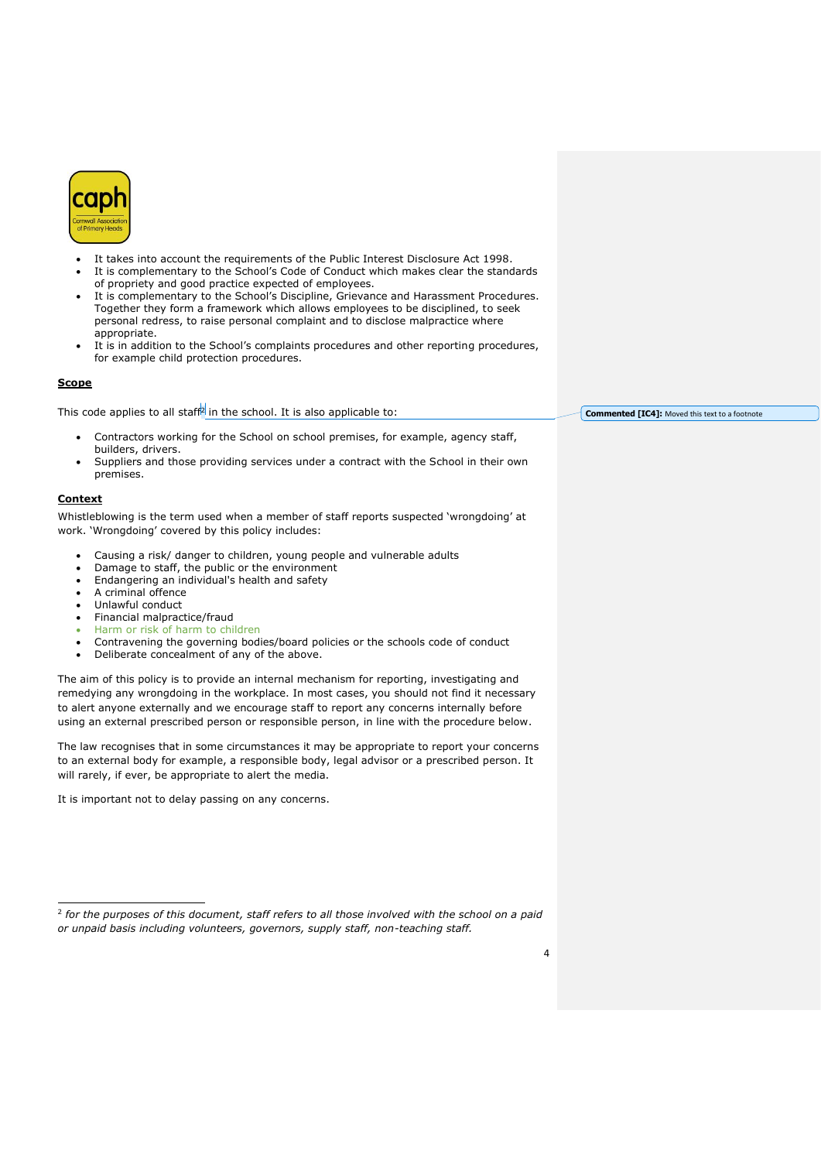

- It takes into account the requirements of the Public Interest Disclosure Act 1998.
- It is complementary to the School's Code of Conduct which makes clear the standards of propriety and good practice expected of employees.
- It is complementary to the School's Discipline, Grievance and Harassment Procedures. Together they form a framework which allows employees to be disciplined, to seek personal redress, to raise personal complaint and to disclose malpractice where appropriate.
- It is in addition to the School's complaints procedures and other reporting procedures, for example child protection procedures.

#### <span id="page-3-0"></span>**Scope**

This code applies to all staff<sup>2</sup> in the school. It is also applicable to:

- Contractors working for the School on school premises, for example, agency staff, builders, drivers.
- Suppliers and those providing services under a contract with the School in their own premises.

#### <span id="page-3-1"></span>**Context**

Whistleblowing is the term used when a member of staff reports suspected 'wrongdoing' at work. 'Wrongdoing' covered by this policy includes:

- Causing a risk/ danger to children, young people and vulnerable adults
- Damage to staff, the public or the environment
- Endangering an individual's health and safety
- A criminal offence
- Unlawful conduct
- Financial malpractice/fraud
- Harm or risk of harm to children
- Contravening the governing bodies/board policies or the schools code of conduct
- Deliberate concealment of any of the above.

The aim of this policy is to provide an internal mechanism for reporting, investigating and remedying any wrongdoing in the workplace. In most cases, you should not find it necessary to alert anyone externally and we encourage staff to report any concerns internally before using an external prescribed person or responsible person, in line with the procedure below.

The law recognises that in some circumstances it may be appropriate to report your concerns to an external body for example, a responsible body, legal advisor or a prescribed person. It will rarely, if ever, be appropriate to alert the media.

It is important not to delay passing on any concerns.

**Commented [IC4]:** Moved this text to a footnote

<sup>2</sup> *for the purposes of this document, staff refers to all those involved with the school on a paid or unpaid basis including volunteers, governors, supply staff, non-teaching staff.*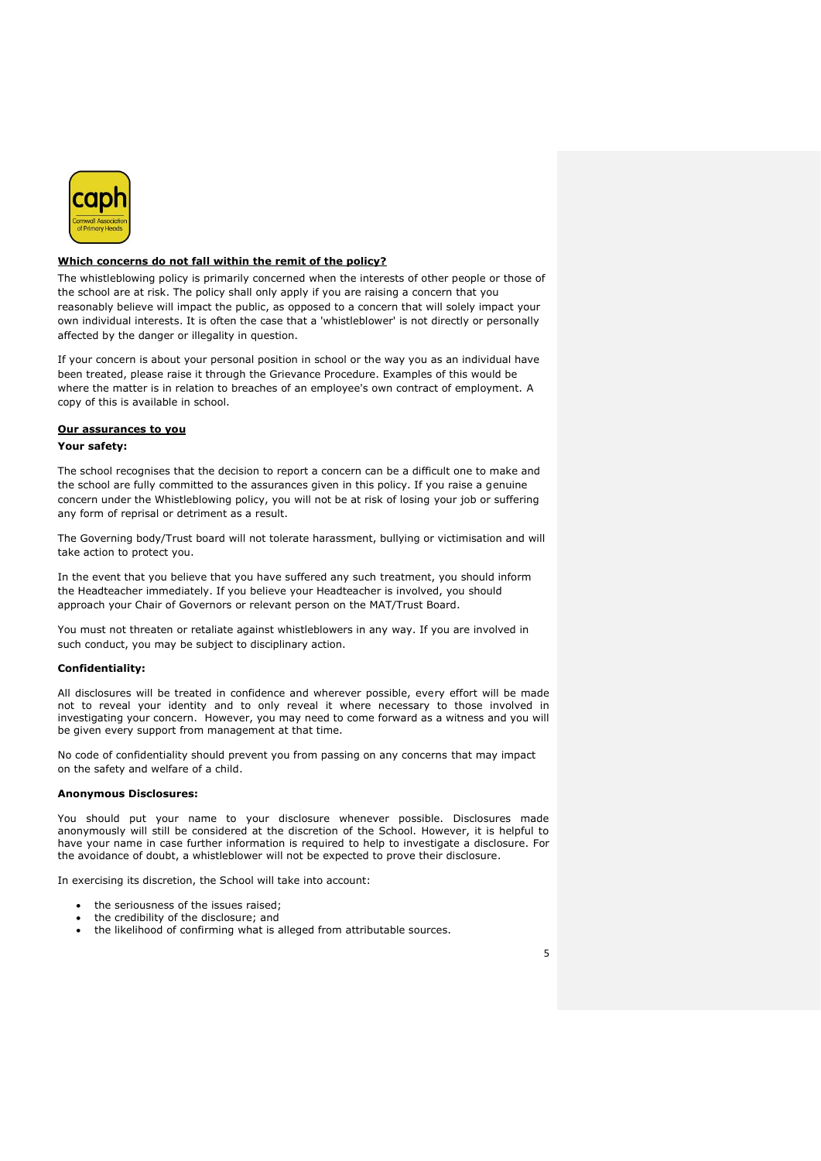

## <span id="page-4-0"></span>**Which concerns do not fall within the remit of the policy?**

The whistleblowing policy is primarily concerned when the interests of other people or those of the school are at risk. The policy shall only apply if you are raising a concern that you reasonably believe will impact the public, as opposed to a concern that will solely impact your own individual interests. It is often the case that a 'whistleblower' is not directly or personally affected by the danger or illegality in question.

If your concern is about your personal position in school or the way you as an individual have been treated, please raise it through the Grievance Procedure. Examples of this would be where the matter is in relation to breaches of an employee's own contract of employment. A copy of this is available in school.

#### <span id="page-4-1"></span>**Our assurances to you**

## **Your safety:**

The school recognises that the decision to report a concern can be a difficult one to make and the school are fully committed to the assurances given in this policy. If you raise a genuine concern under the Whistleblowing policy, you will not be at risk of losing your job or suffering any form of reprisal or detriment as a result.

The Governing body/Trust board will not tolerate harassment, bullying or victimisation and will take action to protect you.

In the event that you believe that you have suffered any such treatment, you should inform the Headteacher immediately. If you believe your Headteacher is involved, you should approach your Chair of Governors or relevant person on the MAT/Trust Board.

You must not threaten or retaliate against whistleblowers in any way. If you are involved in such conduct, you may be subject to disciplinary action.

#### **Confidentiality:**

All disclosures will be treated in confidence and wherever possible, every effort will be made not to reveal your identity and to only reveal it where necessary to those involved in investigating your concern. However, you may need to come forward as a witness and you will be given every support from management at that time.

No code of confidentiality should prevent you from passing on any concerns that may impact on the safety and welfare of a child.

## **Anonymous Disclosures:**

You should put your name to your disclosure whenever possible. Disclosures made anonymously will still be considered at the discretion of the School. However, it is helpful to have your name in case further information is required to help to investigate a disclosure. For the avoidance of doubt, a whistleblower will not be expected to prove their disclosure.

In exercising its discretion, the School will take into account:

- the seriousness of the issues raised;
- the credibility of the disclosure; and
- the likelihood of confirming what is alleged from attributable sources.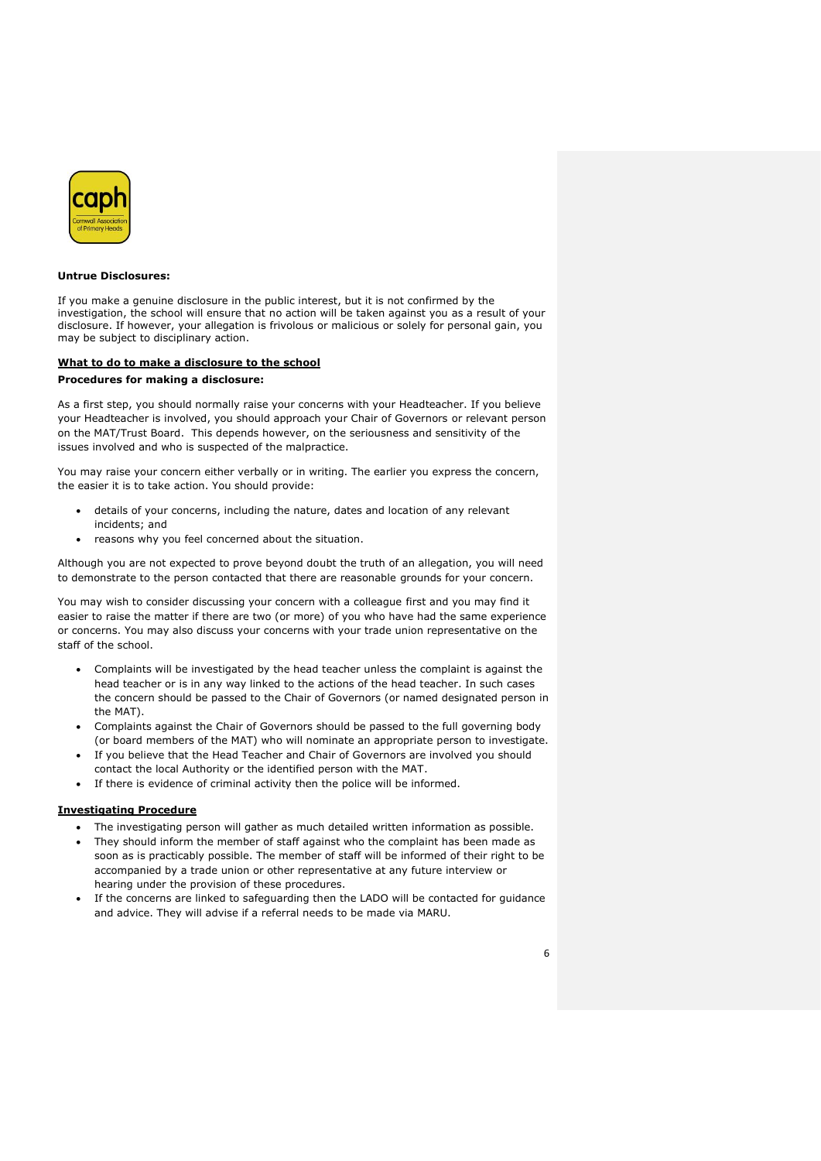

#### **Untrue Disclosures:**

If you make a genuine disclosure in the public interest, but it is not confirmed by the investigation, the school will ensure that no action will be taken against you as a result of your disclosure. If however, your allegation is frivolous or malicious or solely for personal gain, you may be subject to disciplinary action.

#### <span id="page-5-0"></span>**What to do to make a disclosure to the school**

#### **Procedures for making a disclosure:**

As a first step, you should normally raise your concerns with your Headteacher. If you believe your Headteacher is involved, you should approach your Chair of Governors or relevant person on the MAT/Trust Board. This depends however, on the seriousness and sensitivity of the issues involved and who is suspected of the malpractice.

You may raise your concern either verbally or in writing. The earlier you express the concern, the easier it is to take action. You should provide:

- details of your concerns, including the nature, dates and location of any relevant incidents; and
- reasons why you feel concerned about the situation.

Although you are not expected to prove beyond doubt the truth of an allegation, you will need to demonstrate to the person contacted that there are reasonable grounds for your concern.

You may wish to consider discussing your concern with a colleague first and you may find it easier to raise the matter if there are two (or more) of you who have had the same experience or concerns. You may also discuss your concerns with your trade union representative on the staff of the school.

- Complaints will be investigated by the head teacher unless the complaint is against the head teacher or is in any way linked to the actions of the head teacher. In such cases the concern should be passed to the Chair of Governors (or named designated person in the MAT).
- Complaints against the Chair of Governors should be passed to the full governing body (or board members of the MAT) who will nominate an appropriate person to investigate.
- If you believe that the Head Teacher and Chair of Governors are involved you should contact the local Authority or the identified person with the MAT.
- If there is evidence of criminal activity then the police will be informed.

#### <span id="page-5-1"></span>**Investigating Procedure**

- The investigating person will gather as much detailed written information as possible.
- They should inform the member of staff against who the complaint has been made as soon as is practicably possible. The member of staff will be informed of their right to be accompanied by a trade union or other representative at any future interview or hearing under the provision of these procedures.
- If the concerns are linked to safeguarding then the LADO will be contacted for guidance and advice. They will advise if a referral needs to be made via MARU.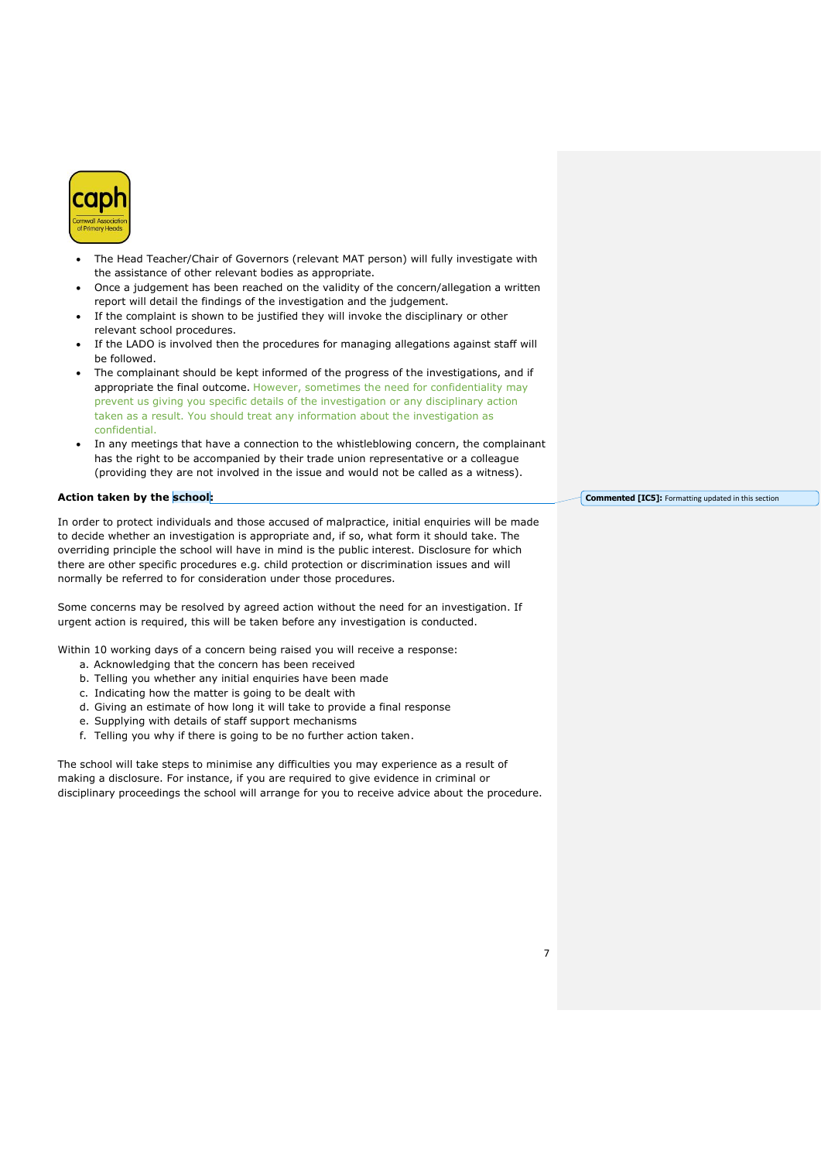

- The Head Teacher/Chair of Governors (relevant MAT person) will fully investigate with the assistance of other relevant bodies as appropriate.
- Once a judgement has been reached on the validity of the concern/allegation a written report will detail the findings of the investigation and the judgement.
- If the complaint is shown to be justified they will invoke the disciplinary or other relevant school procedures.
- If the LADO is involved then the procedures for managing allegations against staff will be followed.
- The complainant should be kept informed of the progress of the investigations, and if appropriate the final outcome. However, sometimes the need for confidentiality may prevent us giving you specific details of the investigation or any disciplinary action taken as a result. You should treat any information about the investigation as confidential.
- In any meetings that have a connection to the whistleblowing concern, the complainant has the right to be accompanied by their trade union representative or a colleague (providing they are not involved in the issue and would not be called as a witness).

#### **Action taken by the school:**

In order to protect individuals and those accused of malpractice, initial enquiries will be made to decide whether an investigation is appropriate and, if so, what form it should take. The overriding principle the school will have in mind is the public interest. Disclosure for which there are other specific procedures e.g. child protection or discrimination issues and will normally be referred to for consideration under those procedures.

Some concerns may be resolved by agreed action without the need for an investigation. If urgent action is required, this will be taken before any investigation is conducted.

Within 10 working days of a concern being raised you will receive a response:

- a. Acknowledging that the concern has been received
- b. Telling you whether any initial enquiries have been made
- c. Indicating how the matter is going to be dealt with
- d. Giving an estimate of how long it will take to provide a final response
- e. Supplying with details of staff support mechanisms
- f. Telling you why if there is going to be no further action taken.

The school will take steps to minimise any difficulties you may experience as a result of making a disclosure. For instance, if you are required to give evidence in criminal or disciplinary proceedings the school will arrange for you to receive advice about the procedure. **Commented [IC5]:** Formatting updated in this section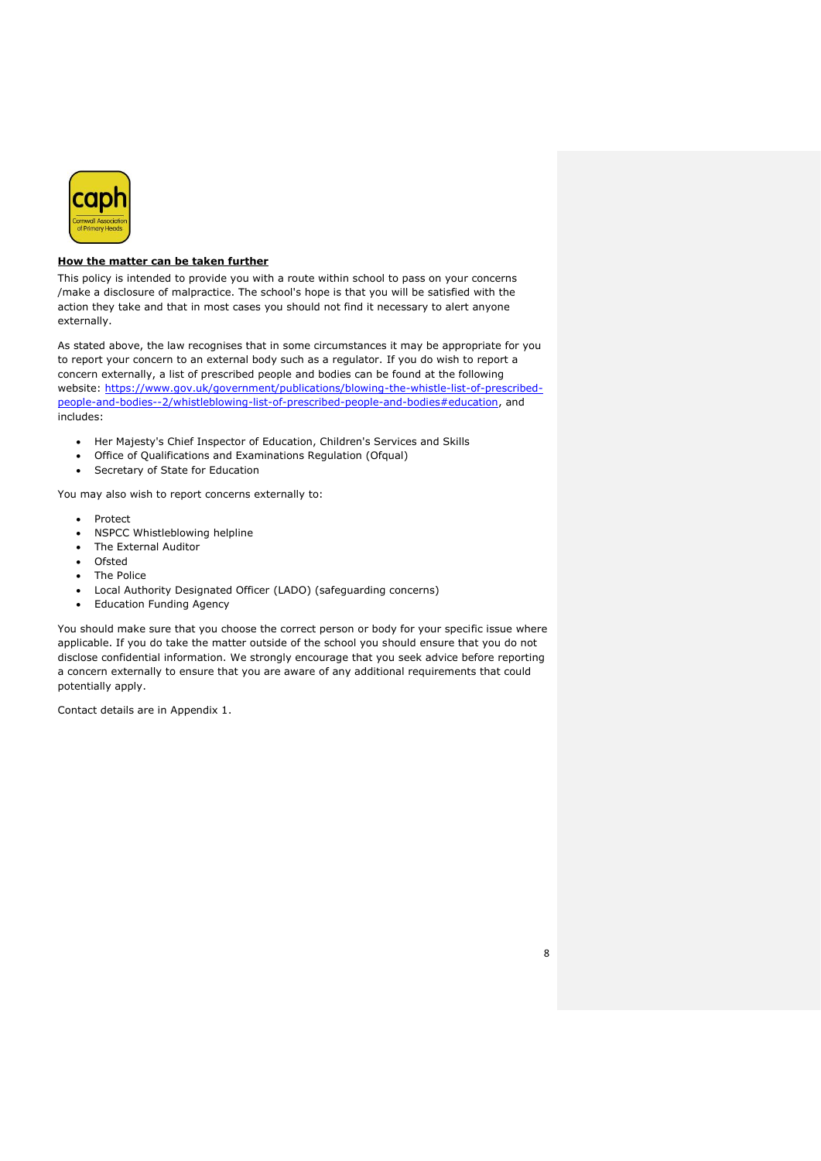

## <span id="page-7-0"></span>**How the matter can be taken further**

This policy is intended to provide you with a route within school to pass on your concerns /make a disclosure of malpractice. The school's hope is that you will be satisfied with the action they take and that in most cases you should not find it necessary to alert anyone externally.

As stated above, the law recognises that in some circumstances it may be appropriate for you to report your concern to an external body such as a regulator. If you do wish to report a concern externally, a list of prescribed people and bodies can be found at the following website: https://www.gov.uk/government/publications/blowing-the-whistle-list-of-prescribedpeople-and-bodies--2/whistleblowing-list-of-prescribed-people-and-bodies#education, and includes:

- Her Majesty's Chief Inspector of Education, Children's Services and Skills
- Office of Qualifications and Examinations Regulation (Ofqual)
- Secretary of State for Education

You may also wish to report concerns externally to:

- Protect
- NSPCC Whistleblowing helpline
- The External Auditor
- Ofsted
- The Police
- Local Authority Designated Officer (LADO) (safeguarding concerns)
- Education Funding Agency

You should make sure that you choose the correct person or body for your specific issue where applicable. If you do take the matter outside of the school you should ensure that you do not disclose confidential information. We strongly encourage that you seek advice before reporting a concern externally to ensure that you are aware of any additional requirements that could potentially apply.

Contact details are in Appendix 1.